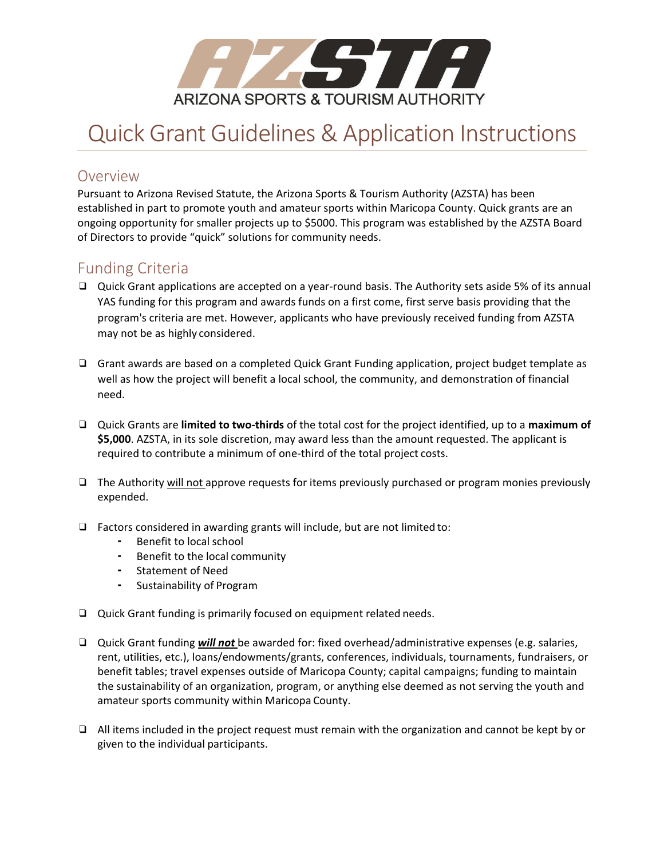

# Quick Grant Guidelines & Application Instructions

#### Overview

Pursuant to Arizona Revised Statute, the Arizona Sports & Tourism Authority (AZSTA) has been established in part to promote youth and amateur sports within Maricopa County. Quick grants are an ongoing opportunity for smaller projects up to \$5000. This program was established by the AZSTA Board of Directors to provide "quick" solutions for community needs.

### Funding Criteria

- ❑ Quick Grant applications are accepted on a year-round basis. The Authority sets aside 5% of its annual YAS funding for this program and awards funds on a first come, first serve basis providing that the program's criteria are met. However, applicants who have previously received funding from AZSTA may not be as highly considered.
- ❑ Grant awards are based on a completed Quick Grant Funding application, project budget template as well as how the project will benefit a local school, the community, and demonstration of financial need.
- ❑ Quick Grants are **limited to two-thirds** of the total cost for the project identified, up to a **maximum of \$5,000**. AZSTA, in its sole discretion, may award less than the amount requested. The applicant is required to contribute a minimum of one-third of the total project costs.
- ❑ The Authority will not approve requests for items previously purchased or program monies previously expended.
- ❑ Factors considered in awarding grants will include, but are not limited to:
	- Benefit to local school
	- Benefit to the local community
	- Statement of Need
	- Sustainability of Program
- ❑ Quick Grant funding is primarily focused on equipment related needs.
- ❑ Quick Grant funding *will not* be awarded for: fixed overhead/administrative expenses (e.g. salaries, rent, utilities, etc.), loans/endowments/grants, conferences, individuals, tournaments, fundraisers, or benefit tables; travel expenses outside of Maricopa County; capital campaigns; funding to maintain the sustainability of an organization, program, or anything else deemed as not serving the youth and amateur sports community within Maricopa County.
- ❑ All items included in the project request must remain with the organization and cannot be kept by or given to the individual participants.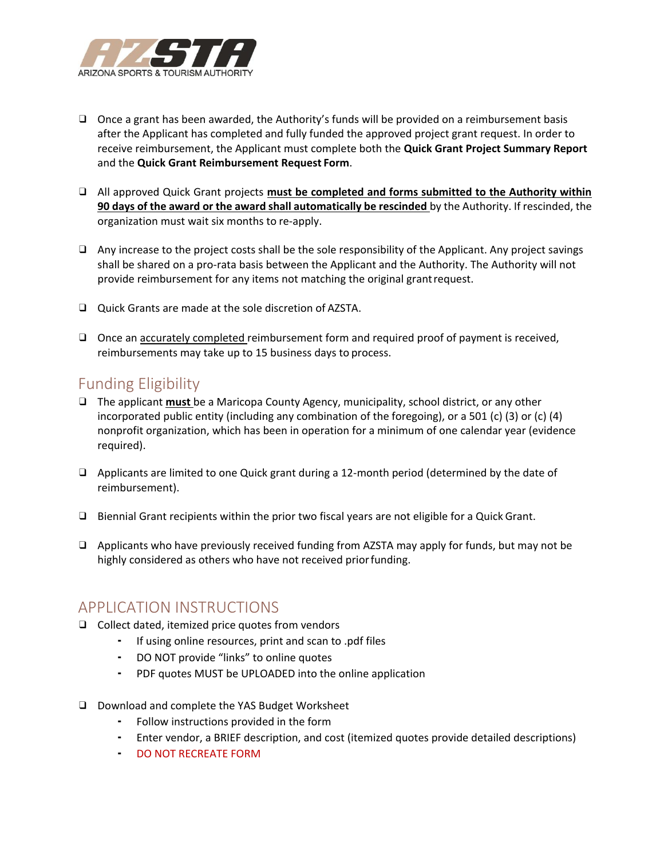

- ❑ Once a grant has been awarded, the Authority's funds will be provided on a reimbursement basis after the Applicant has completed and fully funded the approved project grant request. In order to receive reimbursement, the Applicant must complete both the **Quick Grant Project Summary Report**  and the **Quick Grant Reimbursement Request Form**.
- ❑ All approved Quick Grant projects **must be completed and forms submitted to the Authority within 90 days of the award or the award shall automatically be rescinded** by the Authority. If rescinded, the organization must wait six months to re-apply.
- ❑ Any increase to the project costs shall be the sole responsibility of the Applicant. Any project savings shall be shared on a pro-rata basis between the Applicant and the Authority. The Authority will not provide reimbursement for any items not matching the original grantrequest.
- ❑ Quick Grants are made at the sole discretion of AZSTA.
- □ Once an <u>accurately completed</u> reimbursement form and required proof of payment is received, reimbursements may take up to 15 business days to process.

## Funding Eligibility

- ❑ The applicant **must** be a Maricopa County Agency, municipality, school district, or any other incorporated public entity (including any combination of the foregoing), or a 501 (c) (3) or (c) (4) nonprofit organization, which has been in operation for a minimum of one calendar year (evidence required).
- ❑ Applicants are limited to one Quick grant during a 12-month period (determined by the date of reimbursement).
- ❑ Biennial Grant recipients within the prior two fiscal years are not eligible for a Quick Grant.
- ❑ Applicants who have previously received funding from AZSTA may apply for funds, but may not be highly considered as others who have not received priorfunding.

#### APPLICATION INSTRUCTIONS

- ❑ Collect dated, itemized price quotes from vendors
	- If using online resources, print and scan to .pdf files
	- DO NOT provide "links" to online quotes
	- PDF quotes MUST be UPLOADED into the online application
- ❑ Download and complete the YAS Budget Worksheet
	- Follow instructions provided in the form
	- Enter vendor, a BRIEF description, and cost (itemized quotes provide detailed descriptions)
	- DO NOT RECREATE FORM